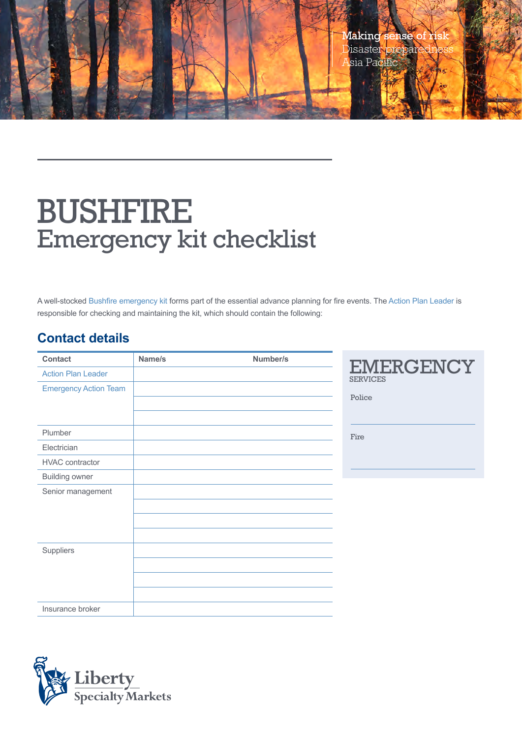

## BUSHFIRE Emergency kit checklist

A well-stocked Bushfire emergency kit forms part of the essential advance planning for fire events. The Action Plan Leader is responsible for checking and maintaining the kit, which should contain the following:

## **Contact details**

| <b>Contact</b>               | Name/s | Number/s |                                     |
|------------------------------|--------|----------|-------------------------------------|
| <b>Action Plan Leader</b>    |        |          | <b>EMERGENCY</b><br><b>SERVICES</b> |
| <b>Emergency Action Team</b> |        |          |                                     |
|                              |        |          | Police                              |
|                              |        |          |                                     |
| Plumber                      |        |          | Fire                                |
| Electrician                  |        |          |                                     |
| <b>HVAC</b> contractor       |        |          |                                     |
| <b>Building owner</b>        |        |          |                                     |
| Senior management            |        |          |                                     |
|                              |        |          |                                     |
|                              |        |          |                                     |
|                              |        |          |                                     |
| Suppliers                    |        |          |                                     |
|                              |        |          |                                     |
|                              |        |          |                                     |
|                              |        |          |                                     |
| Insurance broker             |        |          |                                     |